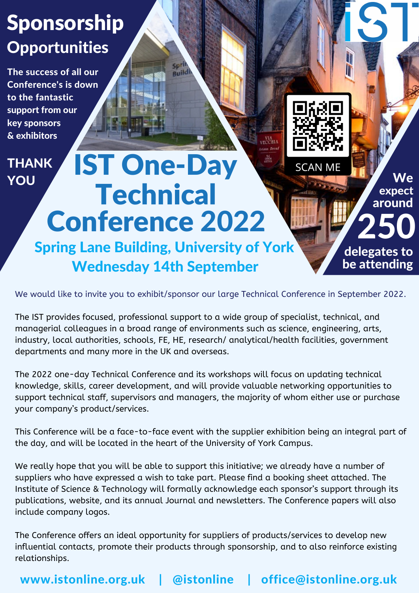## Sponsorship **Opportunities**

The success of all our Conference's is down to the fantastic support from our key sponsors & exhibitors

## IST One-Day **Technical** Conference 2022 THANK YOU

Spring Lane Building, University of York Wednesday 14th September

Spri Buildi

We would like to invite you to exhibit/sponsor our large Technical Conference in September 2022.

We

expect around

250

delegates to be attending

**SCAN ME** 

The IST provides focused, professional support to a wide group of specialist, technical, and managerial colleagues in a broad range of environments such as science, engineering, arts, industry, local authorities, schools, FE, HE, research/ analytical/health facilities, government departments and many more in the UK and overseas.

The 2022 one-day Technical Conference and its workshops will focus on updating technical knowledge, skills, career development, and will provide valuable networking opportunities to support technical staff, supervisors and managers, the majority of whom either use or purchase your company's product/services.

This Conference will be a face-to-face event with the supplier exhibition being an integral part of the day, and will be located in the heart of the University of York Campus.

We really hope that you will be able to support this initiative; we already have a number of suppliers who have expressed a wish to take part. Please find a booking sheet attached. The Institute of Science & Technology will formally acknowledge each sponsor's support through its publications, website, and its annual Journal and newsletters. The Conference papers will also include company logos.

The Conference offers an ideal opportunity for suppliers of products/services to develop new influential contacts, promote their products through sponsorship, and to also reinforce existing relationships.

www.istonline.org.uk | @istonline | office@istonline.org.uk